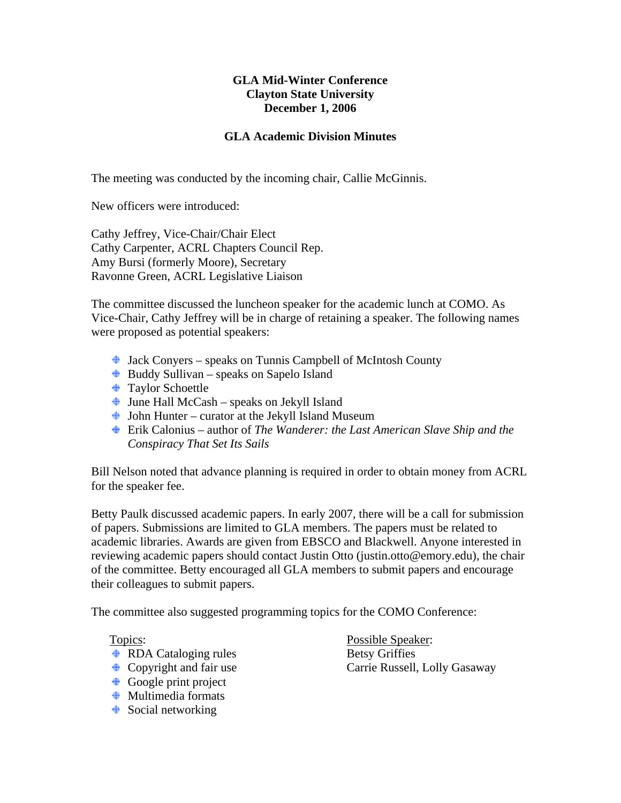## **GLA Mid-Winter Conference Clayton State University December 1, 2006**

## **GLA Academic Division Minutes**

The meeting was conducted by the incoming chair, Callie McGinnis.

New officers were introduced:

Cathy Jeffrey, Vice-Chair/Chair Elect Cathy Carpenter, ACRL Chapters Council Rep. Amy Bursi (formerly Moore), Secretary Ravonne Green, ACRL Legislative Liaison

The committee discussed the luncheon speaker for the academic lunch at COMO. As Vice-Chair, Cathy Jeffrey will be in charge of retaining a speaker. The following names were proposed as potential speakers:

- Jack Conyers speaks on Tunnis Campbell of McIntosh County
- $\bigoplus$  Buddy Sullivan speaks on Sapelo Island
- $\bigoplus$  Taylor Schoettle
- $\triangleq$  June Hall McCash speaks on Jekyll Island
- $\triangleq$  John Hunter curator at the Jekyll Island Museum
- Erik Calonius author of *The Wanderer: the Last American Slave Ship and the Conspiracy That Set Its Sails*

Bill Nelson noted that advance planning is required in order to obtain money from ACRL for the speaker fee.

Betty Paulk discussed academic papers. In early 2007, there will be a call for submission of papers. Submissions are limited to GLA members. The papers must be related to academic libraries. Awards are given from EBSCO and Blackwell. Anyone interested in reviewing academic papers should contact Justin Otto (justin.otto@emory.edu), the chair of the committee. Betty encouraged all GLA members to submit papers and encourage their colleagues to submit papers.

The committee also suggested programming topics for the COMO Conference:

- ♦ RDA Cataloging rules Betsy Griffies
- 
- Google print project
- $\triangleq$  Multimedia formats
- $\triangleq$  Social networking

Topics: Possible Speaker: ♦ Copyright and fair use Carrie Russell, Lolly Gasaway